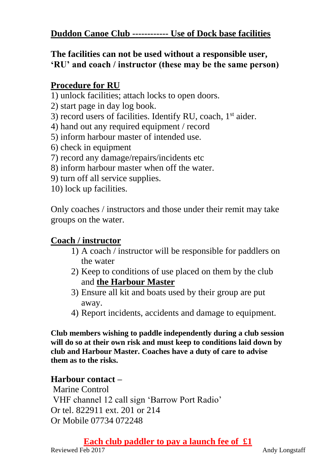### **The facilities can not be used without a responsible user, 'RU' and coach / instructor (these may be the same person)**

## **Procedure for RU**

- 1) unlock facilities; attach locks to open doors.
- 2) start page in day log book.
- 3) record users of facilities. Identify RU, coach, 1<sup>st</sup> aider.
- 4) hand out any required equipment / record
- 5) inform harbour master of intended use.
- 6) check in equipment
- 7) record any damage/repairs/incidents etc
- 8) inform harbour master when off the water.
- 9) turn off all service supplies.
- 10) lock up facilities.

Only coaches / instructors and those under their remit may take groups on the water.

# **Coach / instructor**

- 1) A coach / instructor will be responsible for paddlers on the water
- 2) Keep to conditions of use placed on them by the club and **the Harbour Master**
- 3) Ensure all kit and boats used by their group are put away.
- 4) Report incidents, accidents and damage to equipment.

**Club members wishing to paddle independently during a club session will do so at their own risk and must keep to conditions laid down by club and Harbour Master. Coaches have a duty of care to advise them as to the risks.** 

## **Harbour contact –**

Marine Control VHF channel 12 call sign 'Barrow Port Radio' Or tel. 822911 ext. 201 or 214 Or Mobile 07734 072248